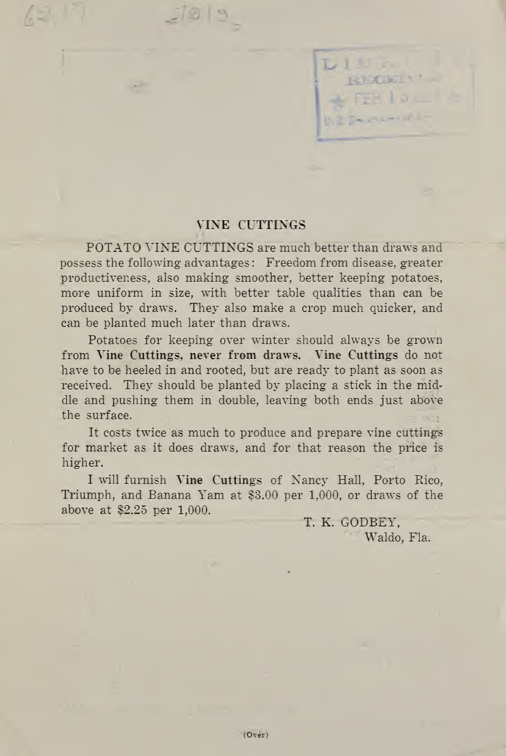## VINE CUTTINGS

 $21019$ 

 $\langle\sigma\sigma\rangle$ 

POTATO VINE CUTTINGS are much better than draws and possess the following advantages : Freedom from disease, greater productiveness, also making smoother, better keeping potatoes, more uniform in size, with better table qualities than can be produced by draws. They also make <sup>a</sup> crop much quicker, and can be planted much later than draws.

Potatoes for keeping over winter should always be grovm from Vine Cuttings, never from draws. Vine Cuttings do not have to be heeled in and rooted, but are ready to plant as soon as received. They should be planted by placing a stick in the middie and pushing them in double, leaving both ends just above the surface.

It costs twice 'as much to produce and prepare vine cuttings for market as it does draws, and for that reason the price is higher.

I will furnish Vine Cuttings of Nancy Hall, Porto Rico, Triumph, and Banana Yam at S3. <sup>00</sup> per 1,000, or draws of the above at \$2.25 per 1,000.

T. K. GODBEY, Waldo, Fla.

 $\begin{array}{l} \text{L11} \\ \text{RECEI1} \\ \text{RECE11} \end{array}$